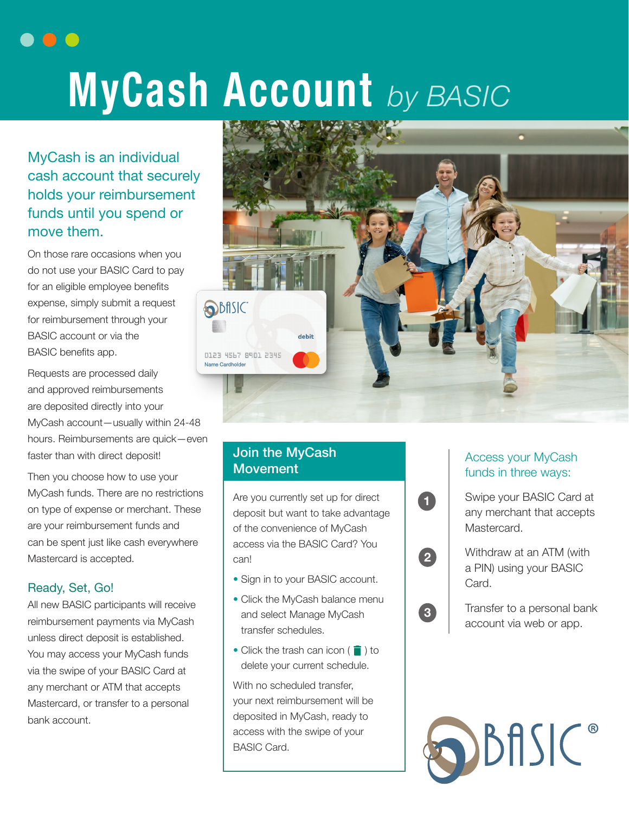# **MyCash Account** *by BASIC*

MyCash is an individual cash account that securely holds your reimbursement funds until you spend or move them.

. . .

On those rare occasions when you do not use your BASIC Card to pay for an eligible employee benefits expense, simply submit a request for reimbursement through your BASIC account or via the BASIC benefits app.

Requests are processed daily and approved reimbursements are deposited directly into your MyCash account—usually within 24-48 hours. Reimbursements are quick—even faster than with direct deposit!

Then you choose how to use your MyCash funds. There are no restrictions on type of expense or merchant. These are your reimbursement funds and can be spent just like cash everywhere Mastercard is accepted.

### Ready, Set, Go!

All new BASIC participants will receive reimbursement payments via MyCash unless direct deposit is established. You may access your MyCash funds via the swipe of your BASIC Card at any merchant or ATM that accepts Mastercard, or transfer to a personal bank account.



**1**

**2**

**3**

## Join the MyCash Movement

Are you currently set up for direct deposit but want to take advantage of the convenience of MyCash access via the BASIC Card? You can!

- Sign in to your BASIC account.
- Click the MyCash balance menu and select Manage MyCash transfer schedules.
- Click the trash can icon  $(\Box)$  to delete your current schedule.

With no scheduled transfer, your next reimbursement will be deposited in MyCash, ready to access with the swipe of your BASIC Card.

#### Access your MyCash funds in three ways:

Swipe your BASIC Card at any merchant that accepts Mastercard.

Withdraw at an ATM (with a PIN) using your BASIC Card.

Transfer to a personal bank account via web or app.